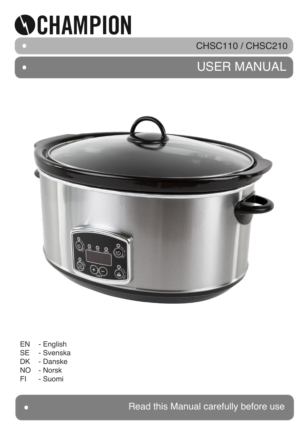

 $\bullet$ 

# CHSC110 / CHSC210

# USER MANUAL



- EN English
- SE Svenska<br>DK Danske
- Danske
- NO Norsk
- FI Suomi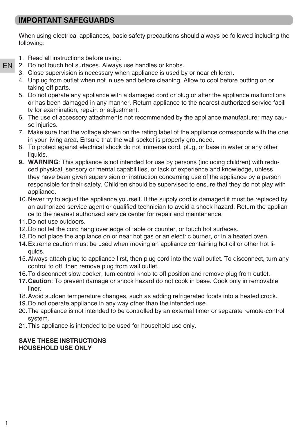## **IMPORTANT SAFEGUARDS**

When using electrical appliances, basic safety precautions should always be followed including the following:

1. Read all instructions before using.

EN

- 2. Do not touch hot surfaces. Always use handles or knobs.
	- 3. Close supervision is necessary when appliance is used by or near children.
	- 4. Unplug from outlet when not in use and before cleaning. Allow to cool before putting on or taking off parts.
	- 5. Do not operate any appliance with a damaged cord or plug or after the appliance malfunctions or has been damaged in any manner. Return appliance to the nearest authorized service facility for examination, repair, or adjustment.
	- 6. The use of accessory attachments not recommended by the appliance manufacturer may cause injuries.
	- 7. Make sure that the voltage shown on the rating label of the appliance corresponds with the one in your living area. Ensure that the wall socket is properly grounded.
	- 8. To protect against electrical shock do not immerse cord, plug, or base in water or any other liquids.
	- **9. WARNING**: This appliance is not intended for use by persons (including children) with reduced physical, sensory or mental capabilities, or lack of experience and knowledge, unless they have been given supervision or instruction concerning use of the appliance by a person responsible for their safety. Children should be supervised to ensure that they do not play with appliance.
	- 10.Never try to adjust the appliance yourself. If the supply cord is damaged it must be replaced by an authorized service agent or qualified technician to avoid a shock hazard. Return the appliance to the nearest authorized service center for repair and maintenance.
	- 11.Do not use outdoors.
	- 12.Do not let the cord hang over edge of table or counter, or touch hot surfaces.
	- 13.Do not place the appliance on or near hot gas or an electric burner, or in a heated oven.
	- 14.Extreme caution must be used when moving an appliance containing hot oil or other hot liquids.
	- 15.Always attach plug to appliance first, then plug cord into the wall outlet. To disconnect, turn any control to off, then remove plug from wall outlet.
	- 16.To disconnect slow cooker, turn control knob to off position and remove plug from outlet.
	- **17.Caution**: To prevent damage or shock hazard do not cook in base. Cook only in removable liner.
	- 18.Avoid sudden temperature changes, such as adding refrigerated foods into a heated crock.
	- 19.Do not operate appliance in any way other than the intended use.
	- 20.The appliance is not intended to be controlled by an external timer or separate remote-control system.
	- 21.This appliance is intended to be used for household use only.

#### **SAVE THESE INSTRUCTIONS HOUSEHOLD USE ONLY**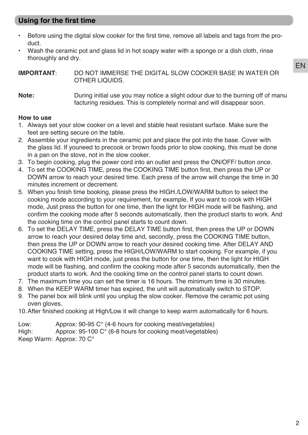# **Using for the first time**

- Before using the digital slow cooker for the first time, remove all labels and tags from the product.
- Wash the ceramic pot and glass lid in hot soapy water with a sponge or a dish cloth, rinse thoroughly and dry.

**IMPORTANT**: DO NOT IMMERSE THE DIGITAL SLOW COOKER BASE IN WATER OR OTHER LIQUIDS.

#### **Note:** During initial use you may notice a slight odour due to the burning off of manu facturing residues. This is completely normal and will disappear soon.

#### **How to use**

- 1. Always set your slow cooker on a level and stable heat resistant surface. Make sure the feet are setting secure on the table.
- 2. Assemble your ingredients in the ceramic pot and place the pot into the base. Cover with the glass lid. If youneed to precook or brown foods prior to slow cooking, this must be done in a pan on the stove, not in the slow cooker.
- 3. To begin cooking, plug the power cord into an outlet and press the ON/OFF/ button once.
- 4. To set the COOKING TIME, press the COOKING TIME button first, then press the UP or DOWN arrow to reach your desired time. Each press of the arrow will change the time in 30 minutes increment or decrement.
- 5. When you finish time booking, please press the HIGH./LOW/WARM button to select the cooking mode according to your requirement, for example, If you want to cook with HIGH mode, Just press the button for one time, then the light for HIGH mode will be flashing, and confirm the cooking mode after 5 seconds automatically, then the product starts to work. And the cooking time on the control panel starts to count down.
- 6. To set the DELAY TIME, press the DELAY TIME button first, then press the UP or DOWN arrow to reach your desired delay time and, secondly, press the COOKING TIME button, then press the UP or DOWN arrow to reach your desired cooking time. After DELAY AND COOKING TIME setting, press the HIGH/LOW/WARM to start cooking. For example, if you want to cook with HIGH mode, just press the button for one time, then the light for HIGH mode will be flashing, and confirm the cooking mode after 5 seconds automatically, then the product starts to work. And the cooking time on the control panel starts to count down.
- 7. The maximum time you can set the timer is 16 hours. The minimum time is 30 minutes.
- 8. When the KEEP WARM timer has expired, the unit will automatically switch to STOP.
- 9. The panel box will blink until you unplug the slow cooker. Remove the ceramic pot using oven gloves.
- 10.After finished cooking at High/Low it will change to keep warm automatically for 6 hours.

Low: Approx: 90-95 C° (4-6 hours for cooking meat/vegetables)

High: Approx: 95-100 C° (6-8 hours for cooking meat/vegetables)

Keep Warm: Approx: 70 C°

EN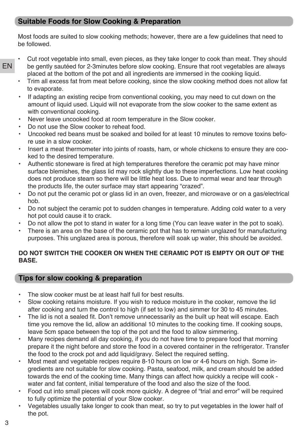## **Suitable Foods for Slow Cooking & Preparation**

Most foods are suited to slow cooking methods; however, there are a few guidelines that need to be followed.

- EN
- Cut root vegetable into small, even pieces, as they take longer to cook than meat. They should be gently sautéed for 2-3minutes before slow cooking. Ensure that root vegetables are always placed at the bottom of the pot and all ingredients are immersed in the cooking liquid.
- Trim all excess fat from meat before cooking, since the slow cooking method does not allow fat to evaporate.
- If adapting an existing recipe from conventional cooking, you may need to cut down on the amount of liquid used. Liquid will not evaporate from the slow cooker to the same extent as with conventional cooking.
- Never leave uncooked food at room temperature in the Slow cooker.
- Do not use the Slow cooker to reheat food.
- Uncooked red beans must be soaked and boiled for at least 10 minutes to remove toxins before use in a slow cooker.
- Insert a meat thermometer into joints of roasts, ham, or whole chickens to ensure they are cooked to the desired temperature.
- Authentic stoneware is fired at high temperatures therefore the ceramic pot may have minor surface blemishes, the glass lid may rock slightly due to these imperfections. Low heat cooking does not produce steam so there will be little heat loss. Due to normal wear and tear through the products life, the outer surface may start appearing "crazed".
- Do not put the ceramic pot or glass lid in an oven, freezer, and microwave or on a gas/electrical hob.
- Do not subject the ceramic pot to sudden changes in temperature. Adding cold water to a very hot pot could cause it to crack.
- Do not allow the pot to stand in water for a long time (You can leave water in the pot to soak).
- There is an area on the base of the ceramic pot that has to remain unglazed for manufacturing purposes. This unglazed area is porous, therefore will soak up water, this should be avoided.

## **DO NOT SWITCH THE COOKER ON WHEN THE CERAMIC POT IS EMPTY OR OUT OF THE BASE.**

# **Tips for slow cooking & preparation**

- The slow cooker must be at least half full for best results.
- Slow cooking retains moisture. If you wish to reduce moisture in the cooker, remove the lid after cooking and turn the control to high (if set to low) and simmer for 30 to 45 minutes.
- The lid is not a sealed fit. Don't remove unnecessarily as the built up heat will escape. Each time you remove the lid, allow an additional 10 minutes to the cooking time. If cooking soups, leave 5cm space between the top of the pot and the food to allow simmering.
- Many recipes demand all day cooking, if you do not have time to prepare food that morning prepare it the night before and store the food in a covered container in the refrigerator. Transfer the food to the crock pot and add liquid/gravy. Select the required setting.
- Most meat and vegetable recipes require 8-10 hours on low or 4-6 hours on high. Some ingredients are not suitable for slow cooking. Pasta, seafood, milk, and cream should be added towards the end of the cooking time. Many things can affect how quickly a recipe will cook water and fat content, initial temperature of the food and also the size of the food.
- Food cut into small pieces will cook more quickly. A degree of "trial and error" will be required to fully optimize the potential of your Slow cooker.
- Vegetables usually take longer to cook than meat, so try to put vegetables in the lower half of the pot.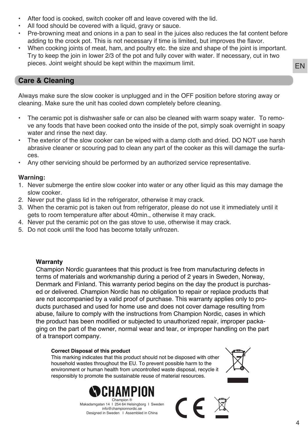- After food is cooked, switch cooker off and leave covered with the lid.
- All food should be covered with a liquid, gravy or sauce.
- Pre-browning meat and onions in a pan to seal in the juices also reduces the fat content before adding to the crock pot. This is not necessary if time is limited, but improves the flavor.
- When cooking joints of meat, ham, and poultry etc. the size and shape of the joint is important. Try to keep the join in lower 2/3 of the pot and fully cover with water. If necessary, cut in two pieces. Joint weight should be kept within the maximum limit.

## **Care & Cleaning**

Always make sure the slow cooker is unplugged and in the OFF position before storing away or cleaning. Make sure the unit has cooled down completely before cleaning.

- The ceramic pot is dishwasher safe or can also be cleaned with warm soapy water. To remove any foods that have been cooked onto the inside of the pot, simply soak overnight in soapy water and rinse the next day.
- The exterior of the slow cooker can be wiped with a damp cloth and dried. DO NOT use harsh abrasive cleaner or scouring pad to clean any part of the cooker as this will damage the surfaces.
- Any other servicing should be performed by an authorized service representative.

#### **Warning:**

- 1. Never submerge the entire slow cooker into water or any other liquid as this may damage the slow cooker.
- 2. Never put the glass lid in the refrigerator, otherwise it may crack.
- 3. When the ceramic pot is taken out from refrigerator, please do not use it immediately until it gets to room temperature after about 40min., otherwise it may crack.
- 4. Never put the ceramic pot on the gas stove to use, otherwise it may crack.
- 5. Do not cook until the food has become totally unfrozen.

#### **Warranty**

Champion Nordic guarantees that this product is free from manufacturing defects in terms of materials and workmanship during a period of 2 years in Sweden, Norway, Denmark and Finland. This warranty period begins on the day the product is purchased or delivered. Champion Nordic has no obligation to repair or replace products that are not accompanied by a valid proof of purchase. This warranty applies only to products purchased and used for home use and does not cover damage resulting from abuse, failure to comply with the instructions from Champion Nordic, cases in which the product has been modified or subjected to unauthorized repair, improper packaging on the part of the owner, normal wear and tear, or improper handling on the part of a transport company.

#### **Correct Disposal of this product**

This marking indicates that this product should not be disposed with other household wastes throughout the EU. To prevent possible harm to the environment or human health from uncontrolled waste disposal, recycle it responsibly to promote the sustainable reuse of material resources.



Makadamgatan 14 I 254 64 Helsingborg I Sweden info@championnordic.se Designed in Sweden I Assembled in China



 $\epsilon$ 

EN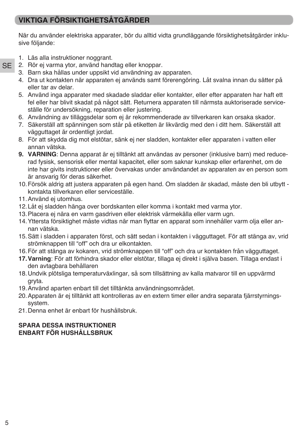# **VIKTIGA FÖRSIKTIGHETSÅTGÄRDER**

När du använder elektriska apparater, bör du alltid vidta grundläggande försiktighetsåtgärder inklusive följande:

- 1. Läs alla instruktioner noggrant.
- **SE** 2. Rör ej varma ytor, använd handtag eller knoppar.
	- 3. Barn ska hållas under uppsikt vid användning av apparaten.
	- 4. Dra ut kontakten när apparaten ej används samt förerengöring. Låt svalna innan du sätter på eller tar av delar.
	- 5. Använd inga apparater med skadade sladdar eller kontakter, eller efter apparaten har haft ett fel eller har blivit skadat på något sätt. Returnera apparaten till närmsta auktoriserade serviceställe för undersökning, reparation eller justering.
	- 6. Användning av tilläggsdelar som ej är rekommenderade av tillverkaren kan orsaka skador.
	- 7. Säkerställ att spänningen som står på etiketten är likvärdig med den i ditt hem. Säkerställ att vägguttaget är ordentligt jordat.
	- 8. För att skydda dig mot elstötar, sänk ej ner sladden, kontakter eller apparaten i vatten eller annan vätska.
	- **9. VARNING**: Denna apparat är ej tilltänkt att användas av personer (inklusive barn) med reducerad fysisk, sensorisk eller mental kapacitet, eller som saknar kunskap eller erfarenhet, om de inte har givits instruktioner eller övervakas under användandet av apparaten av en person som är ansvarig för deras säkerhet.
	- 10.Försök aldrig att justera apparaten på egen hand. Om sladden är skadad, måste den bli utbytt kontakta tillverkaren eller serviceställe.
	- 11.Använd ej utomhus.
	- 12.Låt ej sladden hänga over bordskanten eller komma i kontakt med varma ytor.
	- 13.Placera ej nära en varm gasdriven eller elektrisk värmekälla eller varm ugn.
	- 14.Yttersta försiktighet måste vidtas när man flyttar en apparat som innehåller varm olja eller annan vätska.
	- 15.Sätt i sladden i apparaten först, och sätt sedan i kontakten i vägguttaget. För att stänga av, vrid strömknappen till "off" och dra ur elkontakten.
	- 16.För att stänga av kokaren, vrid strömknappen till "off" och dra ur kontakten från vägguttaget.
	- **17.Varning**: För att förhindra skador eller elstötar, tillaga ej direkt i själva basen. Tillaga endast i den avtagbara behållaren
	- 18.Undvik plötsliga temperaturväxlingar, så som tillsättning av kalla matvaror till en uppvärmd gryta.
	- 19.Använd aparten enbart till det tilltänkta användningsområdet.
	- 20.Apparaten är ej tilltänkt att kontrolleras av en extern timer eller andra separata fjärrstyrningssystem.
	- 21.Denna enhet är enbart för hushållsbruk.

#### **SPARA DESSA INSTRUKTIONER ENBART FÖR HUSHÅLLSBRUK**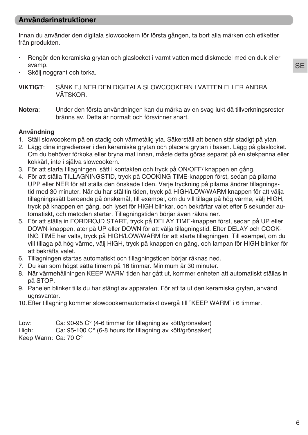## **Användarinstruktioner**

Innan du använder den digitala slowcookern för första gången, ta bort alla märken och etiketter från produkten.

- Rengör den keramiska grytan och glaslocket i varmt vatten med diskmedel med en duk eller svamp.
- Skölj noggrant och torka.

**VIKTIGT**: SÄNK EJ NER DEN DIGITALA SLOWCOOKERN I VATTEN ELLER ANDRA VÄTSKOR.

**Notera**: Under den första användningen kan du märka av en svag lukt då tillverkningsrester bränns av. Detta är normalt och försvinner snart.

#### **Användning**

- 1. Ställ slowcookern på en stadig och värmetålig yta. Säkerställ att benen står stadigt på ytan.
- 2. Lägg dina ingredienser i den keramiska grytan och placera grytan i basen. Lägg på glaslocket. Om du behöver förkoka eller bryna mat innan, måste detta göras separat på en stekpanna eller kokkärl, inte i själva slowcookern.
- 3. För att starta tillagningen, sätt i kontakten och tryck på ON/OFF/ knappen en gång.
- 4. För att ställa TILLAGNINGSTID, tryck på COOKING TIME-knappen först, sedan på pilarna UPP eller NER för att ställa den önskade tiden. Varje tryckning på pilarna ändrar tillagningstid med 30 minuter. När du har ställtin tiden, tryck på HIGH/LOW/WARM knappen för att välja tillagningssätt beroende på önskemål, till exempel, om du vill tillaga på hög värme, välj HIGH, tryck på knappen en gång, och lyset för HIGH blinkar, och bekräftar valet efter 5 sekunder automatiskt, och metoden startar. Tillagningstiden börjar även räkna ner.
- 5. För att ställa in FÖRDRÖJD START, tryck på DELAY TIME-knappen först, sedan på UP eller DOWN-knappen, åter på UP eller DOWN för att välja tillagningstid. Efter DELAY och COOK-ING TIME har valts, tryck på HIGH/LOW/WARM för att starta tillagningen. Till exempel, om du vill tillaga på hög värme, välj HIGH, tryck på knappen en gång, och lampan för HIGH blinker för att bekräfta valet.
- 6. Tillagningen startas automatiskt och tillagningstiden börjar räknas ned.
- 7. Du kan som högst sätta timern på 16 timmar. Minimum är 30 minuter.
- 8. När värmehållningen KEEP WARM tiden har gått ut, kommer enheten att automatiskt ställas in på STOP.
- 9. Panelen blinker tills du har stängt av apparaten. För att ta ut den keramiska grytan, använd ugnsvantar.
- 10.Efter tillagning kommer slowcookernautomatiskt övergå till "KEEP WARM" i 6 timmar.

Low: Ca: 90-95 C° (4-6 timmar för tillagning av kött/grönsaker)

High: Ca: 95-100 C° (6-8 hours för tillagning av kött/grönsaker)

Keep Warm: Ca: 70 C°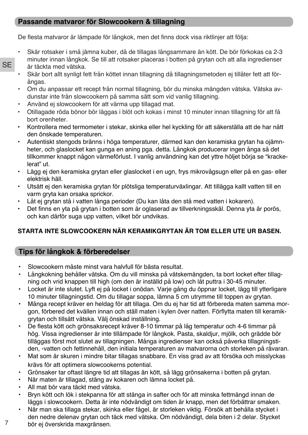## **Passande matvaror för Slowcookern & tillagning**

De flesta matvaror är lämpade för långkok, men det finns dock visa riktlinjer att följa:

- Skär rotsaker i små jämna kuber, då de tillagas långsammare än kött. De bör förkokas ca 2-3 minuter innan långkok. Se till att rotsaker placeras i botten på grytan och att alla ingredienser är täckta med vätska.
- Skär bort allt synligt fett från köttet innan tillagning då tillagningsmetoden ej tillåter fett att förångas.
- Om du anpassar ett recept från normal tillagning, bör du minska mängden vätska. Vätska avdunstar inte från slowcookern på samma sätt som vid vanlig tillagning.
- Använd ej slowcookern för att värma upp tillagad mat.

**SE** 

- Otillagade röda bönor bör läggas i blöt och kokas i minst 10 minuter innan tillagning för att få bort orenheter.
- Kontrollera med termometer i stekar, skinka eller hel kyckling för att säkerställa att de har nått den önskade temperaturen.
- Autentiskt stengods bränns i höga temperaturer, därmed kan den keramiska grytan ha ojämnheter, och glaslocket kan gunga en aning pga. detta. Långkok producerar ingen ånga så det tillkommer knappt någon värmeförlust. I vanlig användning kan det yttre höljet börja se "krackelerat" ut.
- Lägg ej den keramiska grytan eller glaslocket i en ugn, frys mikrovågsugn eller på en gas- eller elektrisk häll.
- Utsätt ej den keramiska grytan för plötsliga temperaturväxlingar. Att tillägga kallt vatten till en varm gryta kan orsaka sprickor.
- Låt ej grytan stå i vatten långa perioder (Du kan låta den stå med vatten i kokaren).
- Det finns en yta på grytan i botten som är oglaserad av tillverkningsskäl. Denna yta är porös, och kan därför suga upp vatten, vilket bör undvikas.

## **STARTA INTE SLOWCOOKERN NÄR KERAMIKGRYTAN ÄR TOM ELLER UTE UR BASEN.**

# **Tips för långkok & förberedelser**

- Slowcookern måste minst vara halvfull för bästa resultat.
- Långkokning behåller vätska. Om du vill minska på vätskemängden, ta bort locket efter tillagning och vrid knappen till high (om den är inställd på low) och låt puttra i 30-45 minuter.
- Locket är inte slutet. Lyft ej på locket i onödan. Varje gång du öppnar locket, lägg till ytterligare 10 minuter tillagningstid. Om du tillagar soppa, lämna 5 cm utrymme till toppen av grytan.
- Många recept kräver en heldag för att tillaga. Om du ej har tid att förbereda maten samma morgon, förbered det kvällen innan och ställ maten i kylen över natten. Förflytta maten till keramikgrytan och tillsätt vätska. Välj önskad inställning.
- De flesta kött och grönsaksrecept kräver 8-10 timmar på låg temperatur och 4-6 timmar på hög. Vissa ingredienser är inte tillämpade för långkok. Pasta, skaldjur, mjölk, och grädde bör tilläggas först mot slutet av tillagningen. Många ingredienser kan också påverka tillagningstiden, -vatten och fettinnehåll, den initiala temperaturen av matvarorna och storleken på råvaran.
- Mat som är skuren i mindre bitar tillagas snabbare. En viss grad av att försöka och misslyckas krävs för att optimera slowcookerns potential.
- Grönsaker tar oftast längre tid att tillagas än kött, så lägg grönsakerna i botten på grytan.
- När maten är tillagad, stäng av kokaren och lämna locket på.
- All mat bör vara täckt med vätska.
- Bryn kött och lök i stekpanna för att stänga in safter och för att minska fettmängd innan de läggs i slowcookern. Detta är inte nödvändigt om tiden är knapp, men det förbättrar smaken.
- När man ska tillaga stekar, skinka eller fågel, är storleken viktig. Försök att behålla stycket i den nedre delenav grytan och täck med vätska. Om nödvändigt, dela biten i 2 delar. Stycket
- 7 bör ej överskrida maxgränsen.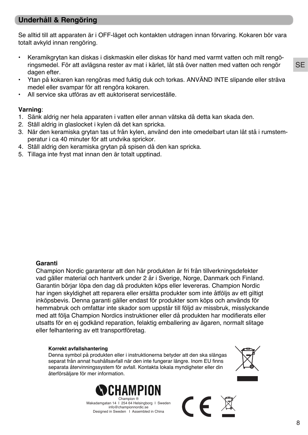## **Underhåll & Rengöring**

Se alltid till att apparaten är i OFF-läget och kontakten utdragen innan förvaring. Kokaren bör vara totalt avkyld innan rengöring.

- Keramikgrytan kan diskas i diskmaskin eller diskas för hand med varmt vatten och milt rengöringsmedel. För att avlägsna rester av mat i kärlet, låt stå över natten med vatten och rengör dagen efter.
- Ytan på kokaren kan rengöras med fuktig duk och torkas. ANVÄND INTE slipande eller sträva medel eller svampar för att rengöra kokaren.
- All service ska utföras av ett auktoriserat serviceställe.

#### **Varning**:

- 1. Sänk aldrig ner hela apparaten i vatten eller annan vätska då detta kan skada den.
- 2. Ställ aldrig in glaslocket i kylen då det kan spricka.
- 3. När den keramiska grytan tas ut från kylen, använd den inte omedelbart utan låt stå i rumstemperatur i ca 40 minuter för att undvika sprickor.
- 4. Ställ aldrig den keramiska grytan på spisen då den kan spricka.
- 5. Tillaga inte fryst mat innan den är totalt upptinad.

#### **Garanti**

Champion Nordic garanterar att den här produkten är fri från tillverkningsdefekter vad gäller material och hantverk under 2 år i Sverige, Norge, Danmark och Finland. Garantin börjar löpa den dag då produkten köps eller levereras. Champion Nordic har ingen skyldighet att reparera eller ersätta produkter som inte åtföljs av ett giltigt inköpsbevis. Denna garanti gäller endast för produkter som köps och används för hemmabruk och omfattar inte skador som uppstår till följd av missbruk, misslyckande med att följa Champion Nordics instruktioner eller då produkten har modifierats eller utsatts för en ej godkänd reparation, felaktig emballering av ägaren, normalt slitage eller felhantering av ett transportföretag.

#### **Korrekt avfallshantering**

Denna symbol på produkten eller i instruktionerna betyder att den ska slängas separat från annat hushållsavfall när den inte fungerar längre. Inom EU finns separata återvinningssystem för avfall. Kontakta lokala myndigheter eller din återförsäljare för mer information.





Makadamgatan 14 I 254 64 Helsingborg I Sweden info@championnordic.se Designed in Sweden I Assembled in China

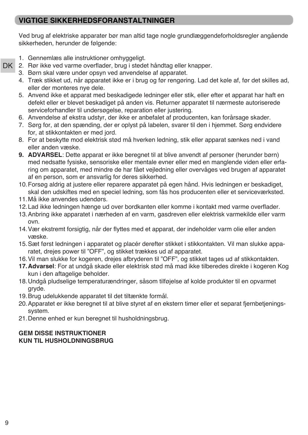## **VIGTIGE SIKKERHEDSFORANSTALTNINGER**

Ved brug af elektriske apparater bør man altid tage nogle grundlæggendeforholdsregler angående sikkerheden, herunder de følgende:

- 1. Gennemlæs alle instruktioner omhyggeligt.
- 2. Rør ikke ved varme overflader, brug i stedet håndtag eller knapper. DK
	- 3. Børn skal være under opsyn ved anvendelse af apparatet.
	- 4. Træk stikket ud, når apparatet ikke er i brug og før rengøring. Lad det køle af, før det skilles ad, eller der monteres nye dele.
	- 5. Anvend ikke et apparat med beskadigede ledninger eller stik, eller efter et apparat har haft en defekt eller er blevet beskadiget på anden vis. Returner apparatet til nærmeste autoriserede serviceforhandler til undersøgelse, reparation eller justering.
	- 6. Anvendelse af ekstra udstyr, der ikke er anbefalet af producenten, kan forårsage skader.
	- 7. Sørg for, at den spænding, der er oplyst på labelen, svarer til den i hjemmet. Sørg endvidere for, at stikkontakten er med jord.
	- 8. For at beskytte mod elektrisk stød må hverken ledning, stik eller apparat sænkes ned i vand eller anden væske.
	- **9. ADVARSEL**: Dette apparat er ikke beregnet til at blive anvendt af personer (herunder børn) med nedsatte fysiske, sensoriske eller mentale evner eller med en manglende viden eller erfaring om apparatet, med mindre de har fået vejledning eller overvåges ved brugen af apparatet af en person, som er ansvarlig for deres sikkerhed.
	- 10.Forsøg aldrig at justere eller reparere apparatet på egen hånd. Hvis ledningen er beskadiget, skal den udskiftes med en speciel ledning, som fås hos producenten eller et serviceværksted.
	- 11.Må ikke anvendes udendørs.
	- 12.Lad ikke ledningen hænge ud over bordkanten eller komme i kontakt med varme overflader.
	- 13.Anbring ikke apparatet i nærheden af en varm, gasdreven eller elektrisk varmekilde eller varm ovn.
	- 14.Vær ekstremt forsigtig, når der flyttes med et apparat, der indeholder varm olie eller anden væske.
	- 15.Sæt først ledningen i apparatet og placér derefter stikket i stikkontakten. Vil man slukke apparatet, drejes power til "OFF", og stikket trækkes ud af apparatet.
	- 16.Vil man slukke for kogeren, drejes afbryderen til "OFF", og stikket tages ud af stikkontakten.
	- **17.Advarsel**: For at undgå skade eller elektrisk stød må mad ikke tilberedes direkte i kogeren Kog kun i den aftagelige beholder.
	- 18.Undgå pludselige temperaturændringer, såsom tilføjelse af kolde produkter til en opvarmet gryde.
	- 19.Brug udelukkende apparatet til det tiltænkte formål.
	- 20.Apparatet er ikke beregnet til at blive styret af en ekstern timer eller et separat fjernbetjeningssystem.
	- 21.Denne enhed er kun beregnet til husholdningsbrug.

### **GEM DISSE INSTRUKTIONER KUN TIL HUSHOLDNINGSBRUG**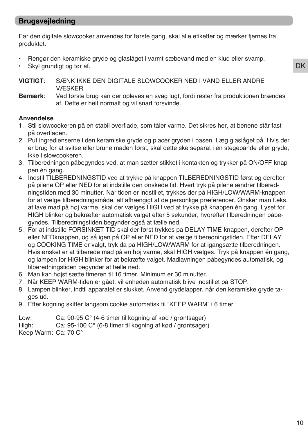## **Brugsvejledning**

Før den digitale slowcooker anvendes for første gang, skal alle etiketter og mærker fjernes fra produktet.

- Rengør den keramiske gryde og glaslåget i varmt sæbevand med en klud eller svamp.
- Skyl grundigt og tør af.

**VIGTIGT**: SÆNK IKKE DEN DIGITALE SLOWCOOKER NED I VAND ELLER ANDRE VÆSKER

**Bemærk**: Ved første brug kan der opleves en svag lugt, fordi rester fra produktionen brændes af. Dette er helt normalt og vil snart forsvinde.

#### **Anvendelse**

- 1. Stil slowcookeren på en stabil overflade, som tåler varme. Det sikres her, at benene står fast på overfladen.
- 2. Put ingredienserne i den keramiske gryde og placér gryden i basen. Læg glaslåget på. Hvis der er brug for at svitse eller brune maden først, skal dette ske separat i en stegepande eller gryde, ikke i slowcookeren.
- 3. Tilberedningen påbegyndes ved, at man sætter stikket i kontakten og trykker på ON/OFF-knappen én gang.
- 4. Indstil TILBEREDNINGSTID ved at trykke på knappen TILBEREDNINGSTID først og derefter på pilene OP eller NED for at indstille den ønskede tid. Hvert tryk på pilene ændrer tilberedningstiden med 30 minutter. Når tiden er indstillet, trykkes der på HIGH/LOW/WARM-knappen for at vælge tilberedningsmåde, alt afhængigt af de personlige præferencer. Ønsker man f.eks. at lave mad på høj varme, skal der vælges HIGH ved at trykke på knappen én gang. Lyset for HIGH blinker og bekræfter automatisk valget efter 5 sekunder, hvorefter tilberedningen påbegyndes. Tilberedningstiden begynder også at tælle ned.
- 5. For at indstille FORSINKET TID skal der først trykkes på DELAY TIME-knappen, derefter OPeller NEDknappen, og så igen på OP eller NED for at vælge tilberedningstiden. Efter DELAY og COOKING TIME er valgt, tryk da på HIGH/LOW/WARM for at igangsætte tilberedningen. Hvis ønsket er at tilberede mad på en høj varme, skal HIGH vælges. Tryk på knappen én gang, og lampen for HIGH blinker for at bekræfte valget. Madlavningen påbegyndes automatisk, og tilberedningstiden begynder at tælle ned.
- 6. Man kan højst sætte timeren til 16 timer. Minimum er 30 minutter.
- 7. Når KEEP WARM-tiden er gået, vil enheden automatisk blive indstillet på STOP.
- 8. Lampen blinker, indtil apparatet er slukket. Anvend grydelapper, når den keramiske gryde tages ud.
- 9. Efter kogning skifter langsom cookie automatisk til "KEEP WARM" i 6 timer.

Low: Ca: 90-95 C° (4-6 timer til kogning af kød / grøntsager)

High: Ca: 95-100 C° (6-8 timer til kogning af kød / grøntsager)

Keep Warm: Ca: 70 C°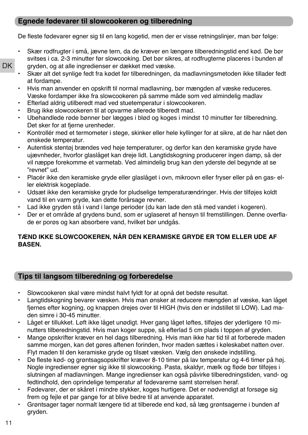### **Egnede fødevarer til slowcookeren og tilberedning**

De fleste fødevarer egner sig til en lang kogetid, men der er visse retningslinjer, man bør følge:

- Skær rodfrugter i små, jævne tern, da de kræver en længere tilberedningstid end kød. De bør svitses i ca. 2-3 minutter før slowcooking. Det bør sikres, at rodfrugterne placeres i bunden af gryden, og at alle ingredienser er dækket med væske.
- Skær alt det synlige fedt fra kødet før tilberedningen, da madlavningsmetoden ikke tillader fedt at fordampe.
- Hvis man anvender en opskrift til normal madlavning, bør mængden af væske reduceres. Væske fordamper ikke fra slowcookeren på samme måde som ved almindelig madlav
- Efterlad aldrig utilberedt mad ved stuetemperatur i slowcookeren.
- Brug ikke slowcookeren til at opvarme allerede tilberedt mad.
- Ubehandlede røde bønner bør lægges i blød og koges i mindst 10 minutter før tilberedning. Det sker for at fjerne urenheder.
- Kontrollér med et termometer i stege, skinker eller hele kyllinger for at sikre, at de har nået den ønskede temperatur.
- Autentisk stentøj brændes ved høje temperaturer, og derfor kan den keramiske gryde have ujævnheder, hvorfor glaslåget kan dreje lidt. Langtidskogning producerer ingen damp, så der vil næppe forekomme et varmetab. Ved almindelig brug kan den yderste del begynde at se "revnet" ud.
- Placér ikke den keramiske gryde eller glaslåget i ovn, mikroovn eller fryser eller på en gas- eller elektrisk kogeplade.
- Udsæt ikke den keramiske gryde for pludselige temperaturændringer. Hvis der tilføjes koldt vand til en varm gryde, kan dette forårsage revner.
- Lad ikke gryden stå i vand i lange perioder (du kan lade den stå med vandet i kogeren).
- Der er et område af grydens bund, som er uglaseret af hensyn til fremstillingen. Denne overflade er porøs og kan absorbere vand, hvilket bør undgås.

### **TÆND IKKE SLOWCOOKEREN, NÅR DEN KERAMISKE GRYDE ER TOM ELLER UDE AF BASEN.**

## **Tips til langsom tilberedning og forberedelse**

- Slowcookeren skal være mindst halvt fyldt for at opnå det bedste resultat.
- Langtidskogning bevarer væsken. Hvis man ønsker at reducere mængden af væske, kan låget fjernes efter kogning, og knappen drejes over til HIGH (hvis den er indstillet til LOW). Lad maden simre i 30-45 minutter.
- Låget er tillukket. Løft ikke låget unødigt. Hver gang låget løftes, tilføjes der yderligere 10 minutters tilberedningstid. Hvis man koger suppe, så efterlad 5 cm plads i toppen af gryden.
- Mange opskrifter kræver en hel dags tilberedning. Hvis man ikke har tid til at forberede maden samme morgen, kan det gøres aftenen forinden, hvor maden sættes i køleskabet natten over. Flyt maden til den keramiske gryde og tilsæt væsken. Vælg den ønskede indstilling.
- De fleste kød- og grøntsagsopskrifter kræver 8-10 timer på lav temperatur og 4-6 timer på høj. Nogle ingredienser egner sig ikke til slowcooking. Pasta, skaldyr, mælk og fløde bør tilføjes i slutningen af madlavningen. Mange ingredienser kan også påvirke tilberedningstiden, vand- og fedtindhold, den oprindelige temperatur af fødevarerne samt størrelsen heraf.
- Fødevarer, der er skåret i mindre stykker, koges hurtigere. Det er nødvendigt at forsøge sig frem og fejle et par gange for at blive bedre til at anvende apparatet.
- Grøntsager tager normalt længere tid at tilberede end kød, så læg grøntsagerne i bunden af gryden.

DK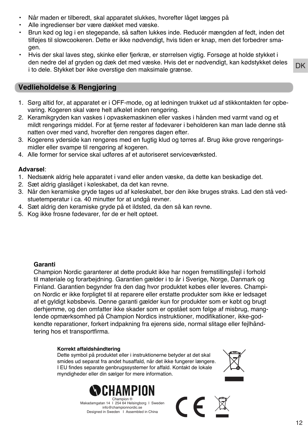- Når maden er tilberedt, skal apparatet slukkes, hvorefter låget lægges på
- Alle ingredienser bør være dækket med væske.
- Brun kød og løg i en stegepande, så saften lukkes inde. Reducér mængden af fedt, inden det tilføjes til slowcookeren. Dette er ikke nødvendigt, hvis tiden er knap, men det forbedrer smagen.
- Hvis der skal laves steg, skinke eller fjerkræ, er størrelsen vigtig. Forsøge at holde stykket i den nedre del af gryden og dæk det med væske. Hvis det er nødvendigt, kan kødstykket deles i to dele. Stykket bør ikke overstige den maksimale grænse.

# **Vedlieholdelse & Rengjøring**

- 1. Sørg altid for, at apparatet er i OFF-mode, og at ledningen trukket ud af stikkontakten før opbevaring. Kogeren skal være helt afkølet inden rengøring.
- 2. Keramikgryden kan vaskes i opvaskemaskinen eller vaskes i hånden med varmt vand og et mildt rengørings middel. For at fjerne rester af fødevarer i beholderen kan man lade denne stå natten over med vand, hvorefter den rengøres dagen efter.
- 3. Kogerens yderside kan rengøres med en fugtig klud og tørres af. Brug ikke grove rengøringsmidler eller svampe til rengøring af kogeren.
- 4. Alle former for service skal udføres af et autoriseret serviceværksted.

#### **Advarsel**:

- 1. Nedsænk aldrig hele apparatet i vand eller anden væske, da dette kan beskadige det.
- 2. Sæt aldrig glaslåget i køleskabet, da det kan revne.
- 3. Når den keramiske gryde tages ud af køleskabet, bør den ikke bruges straks. Lad den stå vedstuetemperatur i ca. 40 minutter for at undgå revner.
- 4. Sæt aldrig den keramiske gryde på et ildsted, da den så kan revne.
- 5. Kog ikke frosne fødevarer, før de er helt optøet.

#### **Garanti**

Champion Nordic garanterer at dette produkt ikke har nogen fremstillingsfejl i forhold til materiale og forarbejdning. Garantien gælder i to år i Sverige, Norge, Danmark og Finland. Garantien begynder fra den dag hvor produktet købes eller leveres. Champion Nordic er ikke forpligtet til at reparere eller erstatte produkter som ikke er ledsaget af et gyldigt købsbevis. Denne garanti gælder kun for produkter som er købt og brugt derhjemme, og den omfatter ikke skader som er opstået som følge af misbrug, manglende opmærksomhed på Champion Nordics instruktioner, modifikationer, ikke-godkendte reparationer, forkert indpakning fra ejerens side, normal slitage eller fejlhåndtering hos et transportfirma.

#### **Korrekt affaldshåndtering**

Dette symbol på produktet eller i instruktionerne betyder at det skal smides ud separat fra andet husaffald, når det ikke fungerer længere. I EU findes separate genbrugssystemer for affald. Kontakt de lokale myndigheder eller din sælger for mere information.



Makadamgatan 14 I 254 64 Helsingborg I Sweden info@championnordic.se Designed in Sweden | Assembled in China



 $\epsilon$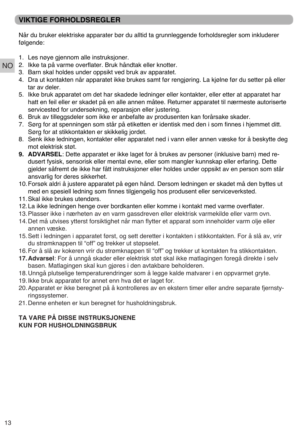## **VIKTIGE FORHOLDSREGLER**

Når du bruker elektriske apparater bør du alltid ta grunnleggende forholdsregler som inkluderer følgende:

- 1. Les nøye gjennom alle instruksjoner.
- 2. Ikke ta på varme overflater. Bruk håndtak eller knotter. NO
	- 3. Barn skal holdes under oppsikt ved bruk av apparatet.
	- 4. Dra ut kontakten når apparatet ikke brukes samt før rengjøring. La kjølne før du setter på eller tar av deler.
	- 5. Ikke bruk apparatet om det har skadede ledninger eller kontakter, eller etter at apparatet har hatt en feil eller er skadet på en alle annen måtee. Returner apparatet til nærmeste autoriserte servicested for undersøkning, reparasjon eller justering.
	- 6. Bruk av tilleggsdeler som ikke er anbefalte av produsenten kan forårsake skader.
	- 7. Sørg for at spenningen som står på etiketten er identisk med den i som finnes i hjemmet ditt. Sørg for at stikkontakten er skikkelig jordet.
	- 8. Senk ikke ledningen, kontakter eller apparatet ned i vann eller annen væske for å beskytte deg mot elektrisk støt.
	- **9. ADVARSEL**: Dette apparatet er ikke laget for å brukes av personer (inklusive barn) med redusert fysisk, sensorisk eller mental evne, eller som mangler kunnskap eller erfaring. Dette gjelder såfremt de ikke har fått instruksjoner eller holdes under oppsikt av en person som står ansvarlig for deres sikkerhet.
	- 10.Forsøk aldri å justere apparatet på egen hånd. Dersom ledningen er skadet må den byttes ut med en spesiell ledning som finnes tilgjengelig hos produsent eller serviceverksted.
	- 11.Skal ikke brukes utendørs.
	- 12.La ikke ledningen henge over bordkanten eller komme i kontakt med varme overflater.
	- 13.Plasser ikke i nærheten av en varm gassdreven eller elektrisk varmekilde eller varm ovn.
	- 14.Det må utvises ytterst forsiktighet når man flytter et apparat som inneholder varm olje eller annen væske.
	- 15.Sett i ledningen i apparatet først, og sett deretter i kontakten i stikkontakten. For å slå av, vrir du strømknappen til "off" og trekker ut støpselet.
	- 16.For å slå av kokeren vrir du strømknappen til "off" og trekker ut kontakten fra stikkontakten.
	- **17.Advarsel**: For å unngå skader eller elektrisk støt skal ikke matlagingen foregå direkte i selv basen. Matlagingen skal kun gjøres i den avtakbare beholderen.
	- 18.Unngå plutselige temperaturendringer som å legge kalde matvarer i en oppvarmet gryte.
	- 19.Ikke bruk apparatet for annet enn hva det er laget for.
	- 20.Apparatet er ikke beregnet på å kontrolleres av en ekstern timer eller andre separate fjernstyringssystemer.
	- 21.Denne enheten er kun beregnet for husholdningsbruk.

#### **TA VARE PÅ DISSE INSTRUKSJONENE KUN FOR HUSHOLDNINGSBRUK**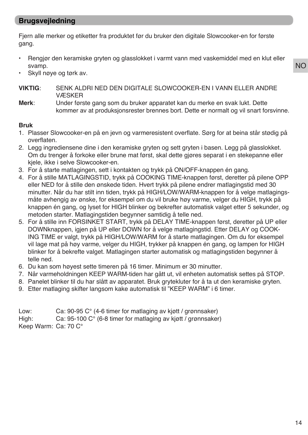## **Brugsvejledning**

Fjern alle merker og etiketter fra produktet før du bruker den digitale Slowcooker-en for første gang.

- Rengjør den keramiske gryten og glasslokket i varmt vann med vaskemiddel med en klut eller svamp.
- Skyll nøye og tørk av.
- **VIKTIG**: SENK ALDRI NED DEN DIGITALE SLOWCOOKER-EN I VANN ELLER ANDRE VÆSKER
- **Merk**: Under første gang som du bruker apparatet kan du merke en svak lukt. Dette kommer av at produksjonsrester brennes bort. Dette er normalt og vil snart forsvinne.

#### **Bruk**

- 1. Plasser Slowcooker-en på en jevn og varmeresistent overflate. Sørg for at beina står stødig på overflaten.
- 2. Legg ingrediensene dine i den keramiske gryten og sett gryten i basen. Legg på glasslokket. Om du trenger å forkoke eller brune mat først, skal dette gjøres separat i en stekepanne eller kjele, ikke i selve Slowcooker-en.
- 3. For å starte matlagingen, sett i kontakten og trykk på ON/OFF-knappen én gang.
- 4. For å stille MATLAGINGSTID, trykk på COOKING TIME-knappen først, deretter på pilene OPP eller NED for å stille den ønskede tiden. Hvert trykk på pilene endrer matlagingstid med 30 minutter. Når du har stilt inn tiden, trykk på HIGH/LOW/WARM-knappen for å velge matlagingsmåte avhengig av ønske, for eksempel om du vil bruke høy varme, velger du HIGH, trykk på knappen én gang, og lyset for HIGH blinker og bekrefter automatisk valget etter 5 sekunder, og metoden starter. Matlagingstiden begynner samtidig å telle ned.
- 5. For å stille inn FORSINKET START, trykk på DELAY TIME-knappen først, deretter på UP eller DOWNknappen, igjen på UP eller DOWN for å velge matlagingstid. Etter DELAY og COOK-ING TIME er valgt, trykk på HIGH/LOW/WARM for å starte matlagingen. Om du for eksempel vil lage mat på høy varme, velger du HIGH, trykker på knappen én gang, og lampen for HIGH blinker for å bekrefte valget. Matlagingen starter automatisk og matlagingstiden begynner å telle ned.
- 6. Du kan som høyest sette timeren på 16 timer. Minimum er 30 minutter.
- 7. Når varmeholdningen KEEP WARM-tiden har gått ut, vil enheten automatisk settes på STOP.
- 8. Panelet blinker til du har slått av apparatet. Bruk grytekluter for å ta ut den keramiske gryten.
- 9. Etter matlaging skifter langsom kake automatisk til "KEEP WARM" i 6 timer.

Low: Ca: 90-95 C° (4-6 timer for matlaging av kjøtt / grønnsaker) High: Ca: 95-100 C° (6-8 timer for matlaging av kjøtt / grønnsaker) Keep Warm: Ca: 70 C°

NO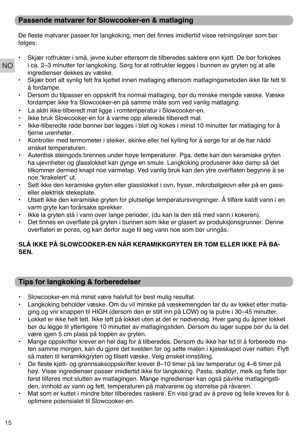## **Passende matvarer for Slowcooker-en & matlaging**

De fleste matvarer passer for langkoking, men det finnes imidlertid visse retningslinjer som bør følges:

- NO • Skjær rotfrukter i små, jevne kuber ettersom de tilberedes saktere enn kjøtt. De bør forkokes i ca. 2–3 minutter før langkoking. Sørg for at rotfrukter legges i bunnen av gryten og at alle ingredienser dekkes av væske.
	- Skjær bort alt synlig fett fra kjøttet innen matlaging ettersom matlagingsmetoden ikke får fett til å fordampe.
	- Dersom du tilpasser en oppskrift fra normal matlaging, bør du minske mengde væske. Væske fordamper ikke fra Slowcooker-en på samme måte som ved vanlig matlaging.
	- La aldri ikke-tilberedt mat ligge i romtemperatur i Slowcooker-en.
	- Ikke bruk Slowcooker-en for å varme opp allerede tilberedt mat.
	- Ikke-tilberedte røde bønner bør legges i bløt og kokes i minst 10 minutter før matlaging for å fjerne urenheter.
	- Kontroller med termometer i steiker, skinke eller hel kylling for å sørge for at de har nådd ønsket temperaturen.
	- Autentisk steingods brennes under høye temperaturer. Pga. dette kan den keramiske gryten ha ujevnheter og glasslokket kan gynge en smule. Langkoking produserer ikke damp så det tilkommer dermed knapt noe varmetap. Ved vanlig bruk kan den ytre overflaten begynne å se noe "krakelert" ut.
	- Sett ikke den keramiske gryten eller glasslokket i ovn, fryser, mikrobølgeovn eller på en gasseller elektrisk stekeplate.
	- Utsett ikke den keramiske gryten for plutselige temperatursvingninger. Å tilføre kaldt vann i en varm gryte kan forårsake sprekker.
	- Ikke la gryten stå i vann over lange perioder, (du kan la den stå med vann i kokeren).
	- Det finnes en overflate på gryten i bunnen som ikke er glasert av produksjonsgrunner. Denne overflaten er porøs, og kan derfor suge til seg vann noe som bør unngås.

## **SLÅ IKKE PÅ SLOWCOOKER-EN NÅR KERAMIKKGRYTEN ER TOM ELLER IKKE PÅ BA-SEN.**

## **Tips for langkoking & forberedelser**

- Slowcooker-en må minst være halvfull for best mulig resultat.
- Langkoking beholder væske. Om du vil minske på væskemengden tar du av lokket etter matlaging og vrir knappen til HIGH (dersom den er stilt inn på LOW) og la putre i 30–45 minutter.
- Lokket er ikke helt tett. Ikke løft på lokket uten at det er nødvendig. Hver gang du åpner lokket bør du legge til ytterligere 10 minutter av matlagingstiden. Dersom du lager suppe bør du la det være igjen 5 cm plass på toppen av gryten.
- Mange oppskrifter krever en hel dag for å tilberedes. Dersom du ikke har tid til å forberede maten samme morgen, kan du gjøre det kvelden før og sette maten i kjøleskapet over natten. Flytt så maten til keramikkgryten og tilsett væske. Velg ønsket innstilling.
- De fleste kjøtt- og grønnsaksoppskrifter krever 8–10 timer på lav temperatur og 4–6 timer på høy. Visse ingredienser passer imidlertid ikke for langkoking. Pasta, skalldyr, melk og fløte bør først tilføres mot slutten av matlagingen. Mange ingredienser kan også påvirke matlagingstiden, innhold av vann og fett, temperaturen på matvarene og størrelse på råvaren.
- Mat som er kuttet i mindre biter tilberedes raskere. En viss grad av å prøve og feile kreves for å optimere potensialet til Slowcooker-en.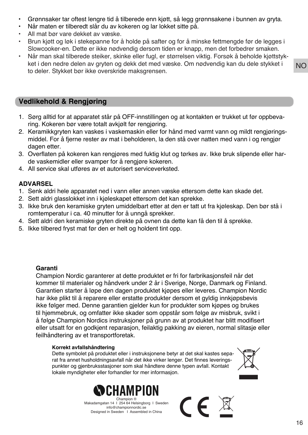- Grønnsaker tar oftest lengre tid å tilberede enn kjøtt, så legg grønnsakene i bunnen av gryta.
- Når maten er tilberedt slår du av kokeren og lar lokket sitte på.
- All mat bør vare dekket av væske.
- Brun kjøtt og løk i stekepanne for å holde på safter og for å minske fettmengde før de legges i Slowcooker-en. Dette er ikke nødvendig dersom tiden er knapp, men det forbedrer smaken.
- Når man skal tilberede steiker, skinke eller fugl, er størrelsen viktig. Forsøk å beholde kjøttstykket i den nedre delen av gryten og dekk det med væske. Om nødvendig kan du dele stykket i to deler. Stykket bør ikke overskride maksgrensen.

## **Vedlikehold & Rengjøring**

- 1. Sørg alltid for at apparatet står på OFF-innstillingen og at kontakten er trukket ut før oppbevaring. Kokeren bør være totalt avkjølt før rengjøring.
- 2. Keramikkgryten kan vaskes i vaskemaskin eller for hånd med varmt vann og mildt rengjøringsmiddel. For å fjerne rester av mat i beholderen, la den stå over natten med vann i og rengjør dagen etter.
- 3. Overflaten på kokeren kan rengjøres med fuktig klut og tørkes av. Ikke bruk slipende eller harde vaskemidler eller svamper for å rengjøre kokeren.
- 4. All service skal utføres av et autorisert serviceverksted.

#### **ADVARSEL**

- 1. Senk aldri hele apparatet ned i vann eller annen væske ettersom dette kan skade det.
- 2. Sett aldri glasslokket inn i kjøleskapet ettersom det kan sprekke.
- 3. Ikke bruk den keramiske gryten umiddelbart etter at den er tatt ut fra kjøleskap. Den bør stå i romtemperatur i ca. 40 minutter for å unngå sprekker.
- 4. Sett aldri den keramiske gryten direkte på ovnen da dette kan få den til å sprekke.
- 5. Ikke tilbered fryst mat før den er helt og holdent tint opp.

#### **Garanti**

Champion Nordic garanterer at dette produktet er fri for farbrikasjonsfeil når det kommer til materialer og håndverk under 2 år i Sverige, Norge, Danmark og Finland. Garantien starter å løpe den dagen produktet kjøpes eller leveres. Champion Nordic har ikke plikt til å reparere eller erstatte produkter dersom et gyldig innkjøpsbevis ikke følger med. Denne garantien gjelder kun for produkter som kjøpes og brukes til hjemmebruk, og omfatter ikke skader som oppstår som følge av misbruk, svikt i å følge Champion Nordics instruksjoner på grunn av at produktet har blitt modifisert eller utsatt for en godkjent reparasjon, feilaktig pakking av eieren, normal slitasje eller feilhåndtering av et transportforetak.

#### **Korrekt avfallshåndtering**

Dette symbolet på produktet eller i instruksjonene betyr at det skal kastes separat fra annet husholdningsavfall når det ikke virker lenger. Det finnes leveringspunkter og gjenbruksstasjoner som skal håndtere denne typen avfall. Kontakt lokale myndigheter eller forhandler for mer informasjon.





Makadamgatan 14 I 254 64 Helsingborg I Sweden info@championnordic.se Designed in Sweden | Assembled in China

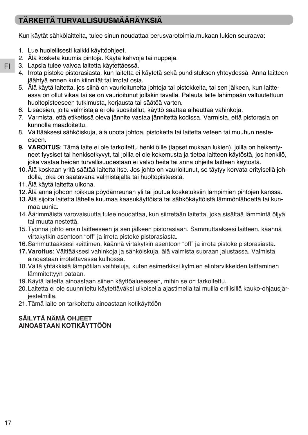# **TÄRKEITÄ TURVALLISUUSMÄÄRÄYKSIÄ**

Kun käytät sähkölaitteita, tulee sinun noudattaa perusvarotoimia,mukaan lukien seuraava:

- 1. Lue huolellisesti kaikki käyttöohjeet.
- 2. Älä kosketa kuumia pintoja. Käytä kahvoja tai nuppeja.
- 3. Lapsia tulee valvoa laitetta käytettäessä.
- 4. Irrota pistoke pistorasiasta, kun laitetta ei käytetä sekä puhdistuksen yhteydessä. Anna laitteen jäähtyä ennen kuin kiinnität tai irrotat osia.
- 5. Älä käytä laitetta, jos siinä on vaurioituneita johtoja tai pistokkeita, tai sen jälkeen, kun laitteessa on ollut vikaa tai se on vaurioitunut jollakin tavalla. Palauta laite lähimpään valtuutettuun huoltopisteeseen tutkimusta, korjausta tai säätöä varten.
- 6. Lisäosien, joita valmistaja ei ole suositellut, käyttö saattaa aiheuttaa vahinkoja.
- 7. Varmista, että etiketissä oleva jännite vastaa jännitettä kodissa. Varmista, että pistorasia on kunnolla maadoitettu.
- 8. Välttääksesi sähköiskuja, älä upota johtoa, pistoketta tai laitetta veteen tai muuhun nesteeseen.
- **9. VAROITUS**: Tämä laite ei ole tarkoitettu henkilöille (lapset mukaan lukien), joilla on heikentyneet fyysiset tai henkisetkyvyt, tai joilla ei ole kokemusta ja tietoa laitteen käytöstä, jos henkilö, joka vastaa heidän turvallisuudestaan ei valvo heitä tai anna ohjeita laitteen käytöstä.
- 10.Älä koskaan yritä säätää laitetta itse. Jos johto on vaurioitunut, se täytyy korvata erityisellä johdolla, joka on saatavana valmistajalta tai huoltopisteestä.
- 11.Älä käytä laitetta ulkona.
- 12.Älä anna johdon roikkua pöydänreunan yli tai joutua kosketuksiin lämpimien pintojen kanssa.
- 13.Älä sijoita laitetta lähelle kuumaa kaasukäyttöistä tai sähkökäyttöistä lämmönlähdettä tai kunmaa uunia.
- 14.Äärimmäistä varovaisuutta tulee noudattaa, kun siirretään laitetta, joka sisältää lämmintä öljyä tai muuta nestettä.
- 15.Työnnä johto ensin laitteeseen ja sen jälkeen pistorasiaan. Sammuttaaksesi laitteen, käännä virtakytkin asentoon "off" ja irrota pistoke pistorasiasta.
- 16.Sammuttaaksesi keittimen, käännä virtakytkin asentoon "off" ja irrota pistoke pistorasiasta.
- **17.Varoitus**: Välttääksesi vahinkoja ja sähköiskuja, älä valmista suoraan jalustassa. Valmista ainoastaan irrotettavassa kulhossa.
- 18.Vältä yhtäkkisiä lämpötilan vaihteluja, kuten esimerkiksi kylmien elintarvikkeiden laittaminen lämmitettyyn pataan.
- 19.Käytä laitetta ainoastaan siihen käyttöalueeseen, mihin se on tarkoitettu.
- 20.Laitetta ei ole suunniteltu käytettäväksi ulkoisella ajastimella tai muilla erillisillä kauko-ohjausjärjestelmillä.
- 21.Tämä laite on tarkoitettu ainoastaan kotikäyttöön

## **SÄILYTÄ NÄMÄ OHJEET AINOASTAAN KOTIKÄYTTÖÖN**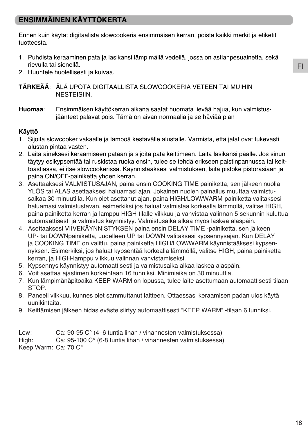## **ENSIMMÄINEN KÄYTTÖKERTA**

Ennen kuin käytät digitaalista slowcookeria ensimmäisen kerran, poista kaikki merkit ja etiketit tuotteesta.

- 1. Puhdista keraaminen pata ja lasikansi lämpimällä vedellä, jossa on astianpesuainetta, sekä rievulla tai sienellä.
- 2. Huuhtele huolellisesti ja kuivaa.

**TÄRKEÄÄ**: ÄLÄ UPOTA DIGITAALLISTA SLOWCOOKERIA VETEEN TAI MUIHIN NESTEISIIN.

**Huomaa**: Ensimmäisen käyttökerran aikana saatat huomata lievää hajua, kun valmistus jäänteet palavat pois. Tämä on aivan normaalia ja se häviää pian

#### **Käyttö**

- 1. Sijoita slowcooker vakaalle ja lämpöä kestävälle alustalle. Varmista, että jalat ovat tukevasti alustan pintaa vasten.
- 2. Laita aineksesi keraamiseen pataan ja sijoita pata keittimeen. Laita lasikansi päälle. Jos sinun täytyy esikypsentää tai ruskistaa ruoka ensin, tulee se tehdä erikseen paistinpannussa tai keittoastiassa, ei itse slowcookerissa. Käynnistääksesi valmistuksen, laita pistoke pistorasiaan ja paina ON/OFF-painiketta yhden kerran.
- 3. Asettaaksesi VALMISTUSAJAN, paina ensin COOKING TIME painiketta, sen jälkeen nuolia YLÖS tai ALAS asettaaksesi haluamasi ajan. Jokainen nuolen painallus muuttaa valmistusaikaa 30 minuutilla. Kun olet asettanut ajan, paina HIGH/LOW/WARM-painiketta valitaksesi haluamasi valmistustavan, esimerkiksi jos haluat valmistaa korkealla lämmöllä, valitse HIGH, paina painiketta kerran ja lamppu HIGH-tilalle vilkkuu ja vahvistaa valinnan 5 sekunnin kuluttua automaattisesti ja valmistus käynnistyy. Valmistusaika alkaa myös laskea alaspäin.
- 4. Asettaaksesi VIIVEKÄYNNISTYKSEN paina ensin DELAY TIME -painiketta, sen jälkeen UP- tai DOWNpainiketta, uudelleen UP tai DOWN valitaksesi kypsennysajan. Kun DELAY ja COOKING TIME on valittu, paina painiketta HIGH/LOW/WARM käynnistääksesi kypsennyksen. Esimerkiksi, jos haluat kypsentää korkealla lämmöllä, valitse HIGH, paina painiketta kerran, ja HIGH-lamppu vilkkuu valinnan vahvistamiseksi.
- 5. Kypsennys käynnistyy automaattisesti ja valmistusaika alkaa laskea alaspäin.
- 6. Voit asettaa ajastimen korkeintaan 16 tunniksi. Minimiaika on 30 minuuttia.
- 7. Kun lämpimänäpitoaika KEEP WARM on lopussa, tulee laite asettumaan automaattisesti tilaan STOP.
- 8. Paneeli vilkkuu, kunnes olet sammuttanut laitteen. Ottaessasi keraamisen padan ulos käytä uunikintaita.
- 9. Keittämisen jälkeen hidas eväste siirtyy automaattisesti "KEEP WARM" -tilaan 6 tunniksi.

Low: Ca: 90-95 C° (4–6 tuntia lihan / vihannesten valmistuksessa) High: Ca: 95-100 C° (6-8 tuntia lihan / vihannesten valmistuksessa)

Keep Warm: Ca: 70 C°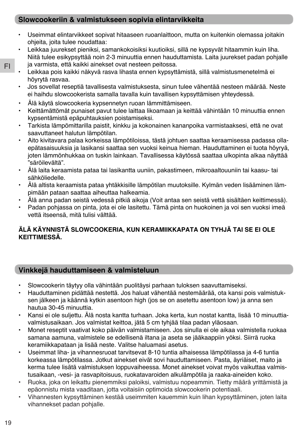## **Slowcookeriin & valmistukseen sopivia elintarvikkeita**

- Useimmat elintarvikkeet sopivat hitaaseen ruoanlaittoon, mutta on kuitenkin olemassa joitakin ohjeita, joita tulee noudattaa:
- Leikkaa juurekset pieniksi, samankokoisiksi kuutioiksi, sillä ne kypsyvät hitaammin kuin liha. Niitä tulee esikypsyttää noin 2-3 minuuttia ennen hauduttamista. Laita juurekset padan pohjalle ja varmista, että kaikki ainekset ovat nesteen peitossa.
- Leikkaa pois kaikki näkyvä rasva lihasta ennen kypsyttämistä, sillä valmistusmenetelmä ei höyrytä rasvaa.
	- Jos sovellat reseptiä tavallisesta valmistuksesta, sinun tulee vähentää nesteen määrää. Neste ei haihdu slowcookerista samalla tavalla kuin tavallisen kypsyttämisen yhteydessä.
	- Älä käytä slowcookeria kypsennetyn ruoan lämmittämiseen.
	- Keittämättömät punaiset pavut tulee laittaa likoamaan ja keittää vähintään 10 minuuttia ennen kypsentämistä epäpuhtauksien poistamiseksi.
	- Tarkista lämpömittarilla paistit, kinkku ja kokonainen kananpoika varmistaaksesi, että ne ovat saavuttaneet halutun lämpötilan.
	- Aito kivitavara palaa korkeissa lämpötiloissa, tästä johtuen saattaa keraamisessa padassa ollaepätasaisuuksia ja lasikansi saattaa sen vuoksi keinua hieman. Hauduttaminen ei tuota höyryä, joten lämmönhukkaa on tuskin lainkaan. Tavallisessa käytössä saattaa ulkopinta alkaa näyttää "säröilevältä".
	- Älä laita keraamista pataa tai lasikantta uuniin, pakastimeen, mikroaaltouuniin tai kaasu- tai sähköliedelle.
	- Älä altista keraamista pataa yhtäkkisille lämpötilan muutoksille. Kylmän veden lisääminen lämpimään pataan saattaa aiheuttaa halkeamia.
	- Älä anna padan seistä vedessä pitkiä aikoja (Voit antaa sen seistä vettä sisältäen keittimessä).
	- Padan pohjassa on pinta, jota ei ole lasitettu. Tämä pinta on huokoinen ja voi sen vuoksi imeä vettä itseensä, mitä tulisi välttää.

## **ÄLÄ KÄYNNISTÄ SLOWCOOKERIA, KUN KERAMIIKKAPATA ON TYHJÄ TAI SE EI OLE KEITTIMESSÄ.**

## **Vinkkejä hauduttamiseen & valmisteluun**

- Slowcookerin täytyy olla vähintään puolitäysi parhaan tuloksen saavuttamiseksi.
- Hauduttaminen pidättää nestettä. Jos haluat vähentää nestemäärää, ota kansi pois valmistuksen jälkeen ja käännä kytkin asentoon high (jos se on asetettu asentoon low) ja anna sen hautua 30-45 minuuttia.
- Kansi ei ole suljettu. Älä nosta kantta turhaan. Joka kerta, kun nostat kantta, lisää 10 minuuttiavalmistusaikaan. Jos valmistat keittoa, jätä 5 cm tyhjää tilaa padan yläosaan.
- Monet reseptit vaativat koko päivän valmistamiseen. Jos sinulla ei ole aikaa valmistella ruokaa samana aamuna, valmistele se edellisenä iltana ja aseta se jääkaappiin yöksi. Siirrä ruoka keramiikkapataan ja lisää neste. Valitse haluamasi asetus.
- Useimmat liha- ja vihannesruoat tarvitsevat 8-10 tuntia alhaisessa lämpötilassa ja 4-6 tuntia korkeassa lämpötilassa. Jotkut ainekset eivät sovi hauduttamiseen. Pasta, äyriäiset, maito ja kerma tulee lisätä valmistuksen loppuvaiheessa. Monet ainekset voivat myös vaikuttaa valmistusaikaan, -vesi- ja rasvapitoisuus, ruokatavaroiden alkulämpötila ja raaka-aineiden koko.
- Ruoka, joka on leikattu pienemmiksi paloiksi, valmistuu nopeammin. Tietty määrä yrittämistä ja epäonnistu mista vaaditaan, jotta voitaisiin optimoida slowcookerin potentiaali.
- Vihannesten kypsyttäminen kestää useimmiten kauemmin kuin lihan kypsyttäminen, joten laita vihannekset padan pohjalle.